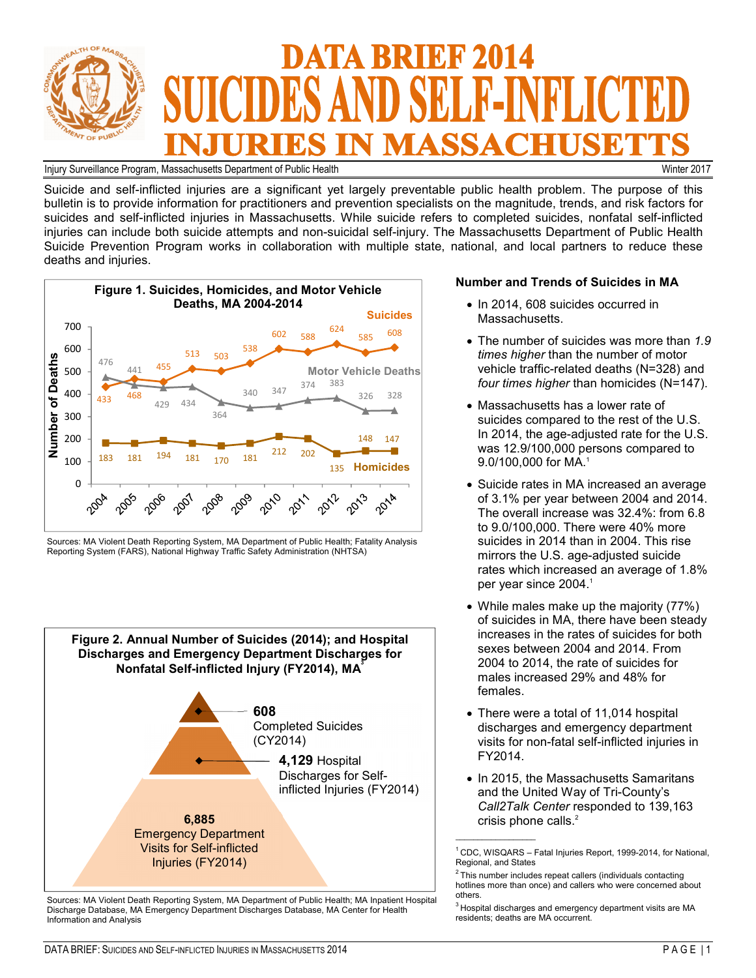

Injury Surveillance Program, Massachusetts Department of Public Health Winter 2017

Suicide and self-inflicted injuries are a significant yet largely preventable public health problem. The purpose of this bulletin is to provide information for practitioners and prevention specialists on the magnitude, trends, and risk factors for suicides and self-inflicted injuries in Massachusetts. While suicide refers to completed suicides, nonfatal self-inflicted injuries can include both suicide attempts and non-suicidal self-injury. The Massachusetts Department of Public Health Suicide Prevention Program works in collaboration with multiple state, national, and local partners to reduce these deaths and injuries.



Sources: MA Violent Death Reporting System, MA Department of Public Health; Fatality Analysis Reporting System (FARS), National Highway Traffic Safety Administration (NHTSA)



Sources: MA Violent Death Reporting System, MA Department of Public Health; MA Inpatient Hospital Discharge Database, MA Emergency Department Discharges Database, MA Center for Health Information and Analysis

### **Number and Trends of Suicides in MA**

- In 2014, 608 suicides occurred in Massachusetts.
- The number of suicides was more than *1.9 times higher* than the number of motor vehicle traffic-related deaths (N=328) and *four times higher* than homicides (N=147).
- Massachusetts has a lower rate of suicides compared to the rest of the U.S. In 2014, the age-adjusted rate for the U.S. was 12.9/100,000 persons compared to 9.0/100,000 for MA.<sup>1</sup>
- Suicide rates in MA increased an average of 3.1% per year between 2004 and 2014. The overall increase was 32.4%: from 6.8 to 9.0/100,000. There were 40% more suicides in 2014 than in 2004. This rise mirrors the U.S. age-adjusted suicide rates which increased an average of 1.8% per year since 2004.<sup>1</sup>
- While males make up the majority (77%) of suicides in MA, there have been steady increases in the rates of suicides for both sexes between 2004 and 2014. From 2004 to 2014, the rate of suicides for males increased 29% and 48% for females.
- There were a total of 11,014 hospital discharges and emergency department visits for non-fatal self-inflicted injuries in FY2014.
- In 2015, the Massachusetts Samaritans and the United Way of Tri-County's *Call2Talk Center* responded to 139,163 crisis phone calls.<sup>2</sup>

 $\overline{\phantom{a}}$  , where  $\overline{\phantom{a}}$ 

 $1$  CDC, WISQARS – Fatal Injuries Report, 1999-2014, for National, Regional, and States

 $2$ This number includes repeat callers (individuals contacting hotlines more than once) and callers who were concerned about others.

 $3$ Hospital discharges and emergency department visits are MA residents; deaths are MA occurrent.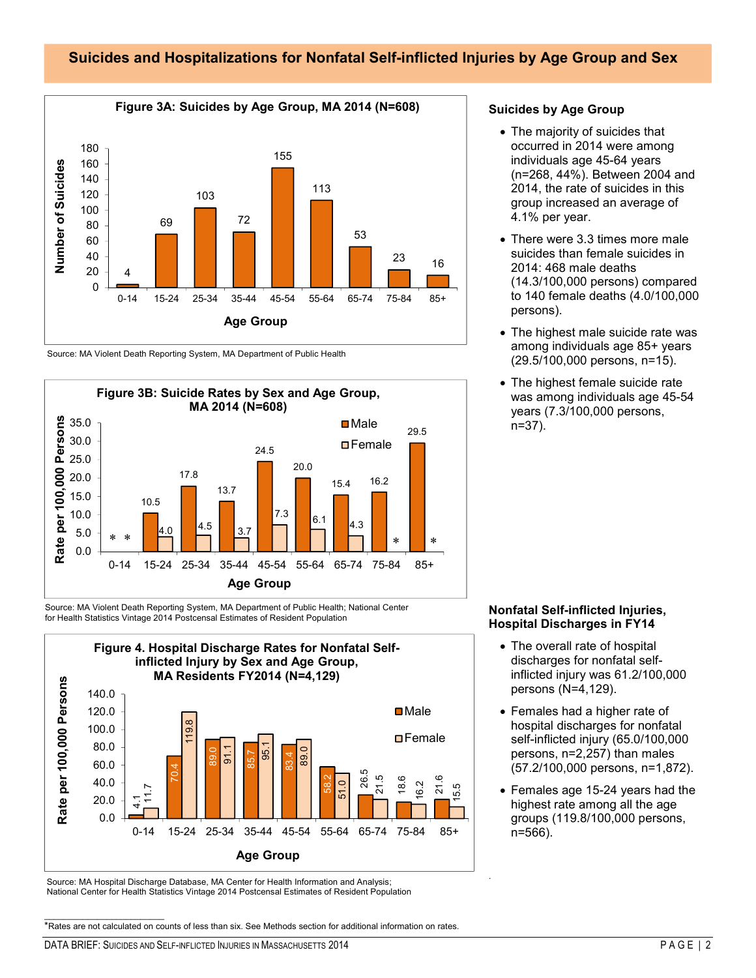## **Suicides and Hospitalizations for Nonfatal Self-inflicted Injuries by Age Group and Sex**



Source: MA Violent Death Reporting System, MA Department of Public Health



Source: MA Violent Death Reporting System, MA Department of Public Health; National Center for Health Statistics Vintage 2014 Postcensal Estimates of Resident Population



Source: MA Hospital Discharge Database, MA Center for Health Information and Analysis; National Center for Health Statistics Vintage 2014 Postcensal Estimates of Resident Population **Suicides by Age Group**

- The majority of suicides that occurred in 2014 were among individuals age 45-64 years (n=268, 44%). Between 2004 and 2014, the rate of suicides in this group increased an average of 4.1% per year.
- There were 3.3 times more male suicides than female suicides in 2014: 468 male deaths (14.3/100,000 persons) compared to 140 female deaths (4.0/100,000 persons).
- The highest male suicide rate was among individuals age 85+ years (29.5/100,000 persons, n=15).
- The highest female suicide rate was among individuals age 45-54 years (7.3/100,000 persons, n=37).

## **Nonfatal Self-inflicted Injuries, Hospital Discharges in FY14**

- The overall rate of hospital discharges for nonfatal selfinflicted injury was 61.2/100,000 persons (N=4,129).
- Females had a higher rate of hospital discharges for nonfatal self-inflicted injury (65.0/100,000 persons, n=2,257) than males (57.2/100,000 persons, n=1,872).
- Females age 15-24 years had the highest rate among all the age groups (119.8/100,000 persons, n=566).

.

\*Rates are not calculated on counts of less than six. See Methods section for additional information on rates.

\_\_\_\_\_\_\_\_\_\_\_\_\_\_\_\_\_\_\_\_\_\_\_\_\_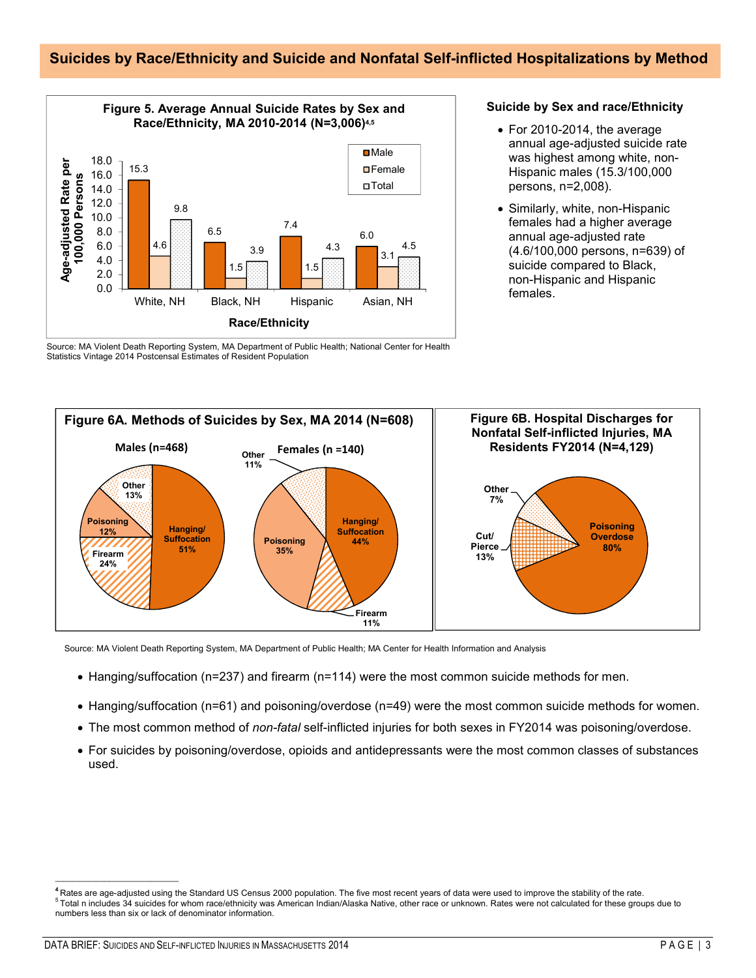# **Suicides by Race/Ethnicity and Suicide and Nonfatal Self-inflicted Hospitalizations by Method**



**Suicide by Sex and race/Ethnicity**

- For 2010-2014, the average annual age-adjusted suicide rate was highest among white, non-Hispanic males (15.3/100,000 persons, n=2,008).
- Similarly, white, non-Hispanic females had a higher average annual age-adjusted rate (4.6/100,000 persons, n=639) of suicide compared to Black, non-Hispanic and Hispanic females.

Source: MA Violent Death Reporting System, MA Department of Public Health; National Center for Health Statistics Vintage 2014 Postcensal Estimates of Resident Population



Source: MA Violent Death Reporting System, MA Department of Public Health; MA Center for Health Information and Analysis

- Hanging/suffocation (n=237) and firearm (n=114) were the most common suicide methods for men.
- Hanging/suffocation (n=61) and poisoning/overdose (n=49) were the most common suicide methods for women.
- The most common method of *non-fatal* self-inflicted injuries for both sexes in FY2014 was poisoning/overdose.
- For suicides by poisoning/overdose, opioids and antidepressants were the most common classes of substances used.

**<sup>4</sup>**Rates are age-adjusted using the Standard US Census 2000 population. The five most recent years of data were used to improve the stability of the rate. <sup>5</sup>Total n includes 34 suicides for whom race/ethnicity was American Indian/Alaska Native, other race or unknown. Rates were not calculated for these groups due to numbers less than six or lack of denominator information.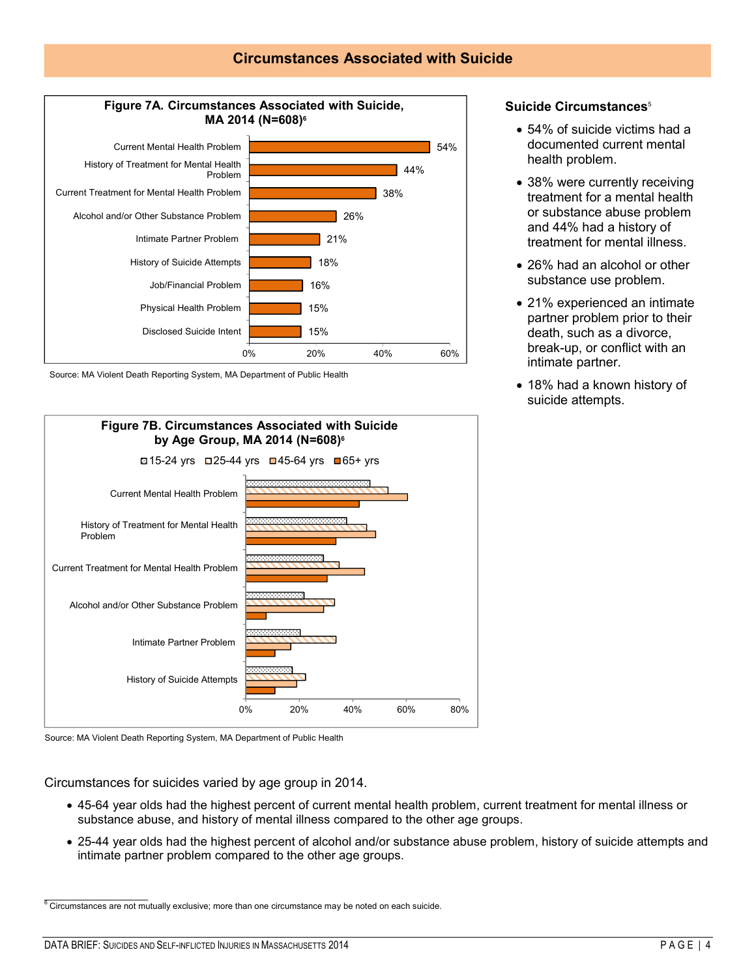## **Circumstances Associated with Suicide**



Source: MA Violent Death Reporting System, MA Department of Public Health





Circumstances for suicides varied by age group in 2014.

- 45-64 year olds had the highest percent of current mental health problem, current treatment for mental illness or substance abuse, and history of mental illness compared to the other age groups.
- 25-44 year olds had the highest percent of alcohol and/or substance abuse problem, history of suicide attempts and intimate partner problem compared to the other age groups.

 $\mathcal{L}$  , we have the set of  $\mathcal{L}$  $6$  Circumstances are not mutually exclusive; more than one circumstance may be noted on each suicide.

#### **Suicide Circumstances**<sup>5</sup>

- 54% of suicide victims had a documented current mental health problem.
- 38% were currently receiving treatment for a mental health or substance abuse problem and 44% had a history of treatment for mental illness.
- 26% had an alcohol or other substance use problem.
- 21% experienced an intimate partner problem prior to their death, such as a divorce, break-up, or conflict with an intimate partner.
- 18% had a known history of suicide attempts.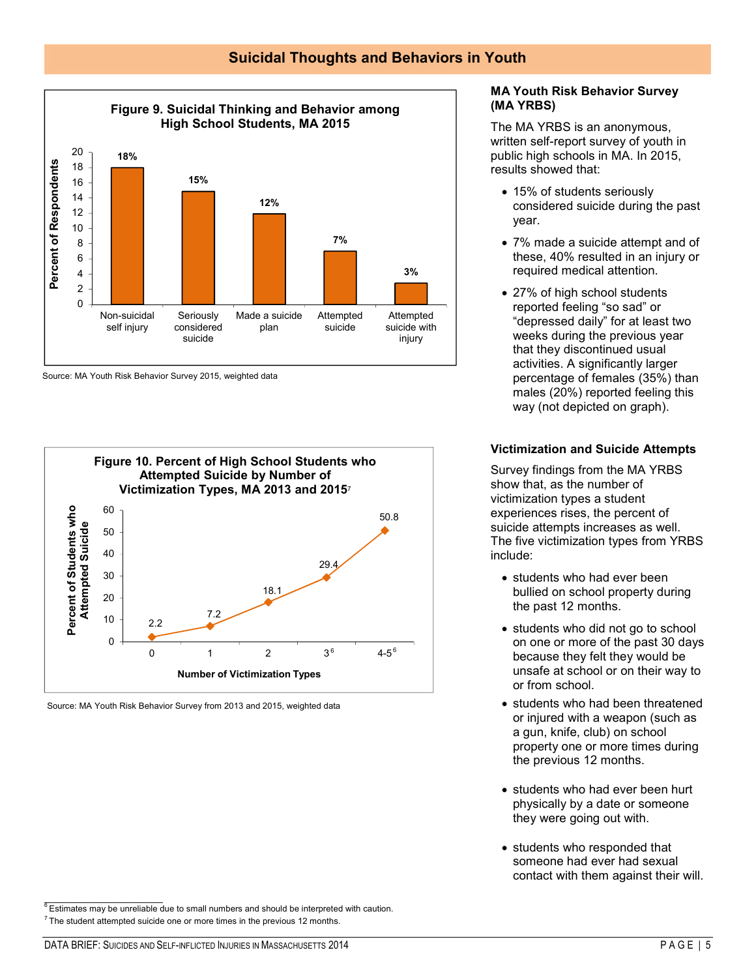## **Suicidal Thoughts and Behaviors in Youth**



Source: MA Youth Risk Behavior Survey 2015, weighted data



Source: MA Youth Risk Behavior Survey from 2013 and 2015, weighted data

### **MA Youth Risk Behavior Survey (MA YRBS)**

The MA YRBS is an anonymous, written self-report survey of youth in public high schools in MA. In 2015, results showed that:

- 15% of students seriously considered suicide during the past year.
- 7% made a suicide attempt and of these, 40% resulted in an injury or required medical attention.
- 27% of high school students reported feeling "so sad" or "depressed daily" for at least two weeks during the previous year that they discontinued usual activities. A significantly larger percentage of females (35%) than males (20%) reported feeling this way (not depicted on graph).

### **Victimization and Suicide Attempts**

Survey findings from the MA YRBS show that, as the number of victimization types a student experiences rises, the percent of suicide attempts increases as well. The five victimization types from YRBS include:

- students who had ever been bullied on school property during the past 12 months.
- students who did not go to school on one or more of the past 30 days because they felt they would be unsafe at school or on their way to or from school.
- students who had been threatened or injured with a weapon (such as a gun, knife, club) on school property one or more times during the previous 12 months.
- students who had ever been hurt physically by a date or someone they were going out with.
- students who responded that someone had ever had sexual contact with them against their will.

 $\frac{1}{2}$  ,  $\frac{1}{2}$  ,  $\frac{1}{2}$  ,  $\frac{1}{2}$  ,  $\frac{1}{2}$  ,  $\frac{1}{2}$  ,  $\frac{1}{2}$  $6$  Estimates may be unreliable due to small numbers and should be interpreted with caution.

 $<sup>7</sup>$  The student attempted suicide one or more times in the previous 12 months.</sup>